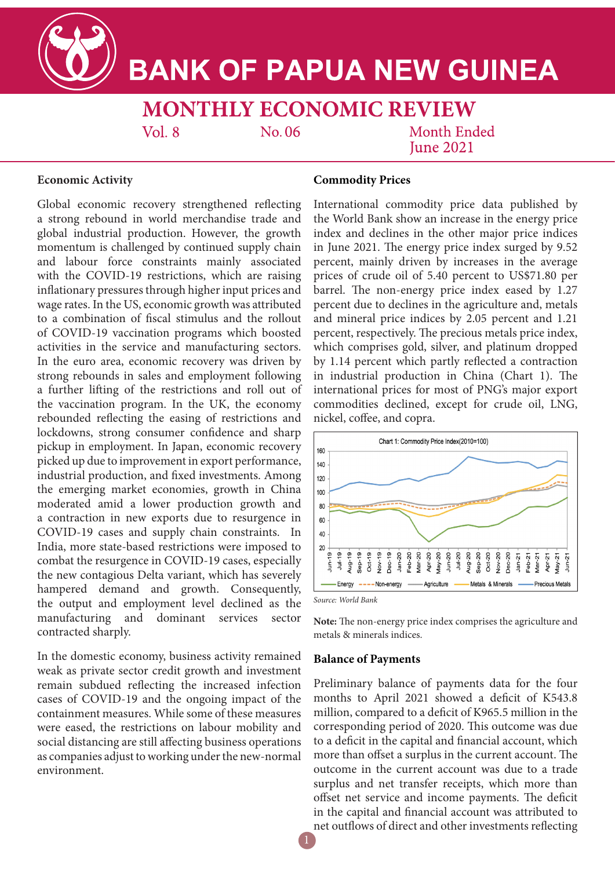**BANK OF PAPUA NEW GUINEA** 

**MONTHLY ECONOMIC REVIEW** 

 $Vol.8$ 

No. 06

Month Ended **Iune 2021** 

## **Economic Activity**

Global economic recovery strengthened reflecting a strong rebound in world merchandise trade and global industrial production. However, the growth momentum is challenged by continued supply chain and labour force constraints mainly associated with the COVID-19 restrictions, which are raising inflationary pressures through higher input prices and wage rates. In the US, economic growth was attributed to a combination of fiscal stimulus and the rollout of COVID-19 vaccination programs which boosted activities in the service and manufacturing sectors. In the euro area, economic recovery was driven by strong rebounds in sales and employment following a further lifting of the restrictions and roll out of the vaccination program. In the UK, the economy rebounded reflecting the easing of restrictions and lockdowns, strong consumer confidence and sharp pickup in employment. In Japan, economic recovery picked up due to improvement in export performance, industrial production, and fixed investments. Among the emerging market economies, growth in China moderated amid a lower production growth and a contraction in new exports due to resurgence in COVID-19 cases and supply chain constraints. In India, more state-based restrictions were imposed to combat the resurgence in COVID-19 cases, especially the new contagious Delta variant, which has severely hampered demand and growth. Consequently, the output and employment level declined as the manufacturing and dominant services sector contracted sharply.

In the domestic economy, business activity remained weak as private sector credit growth and investment remain subdued reflecting the increased infection cases of COVID-19 and the ongoing impact of the containment measures. While some of these measures were eased, the restrictions on labour mobility and social distancing are still affecting business operations as companies adjust to working under the new-normal environment.

# **Commodity Prices**

International commodity price data published by the World Bank show an increase in the energy price index and declines in the other major price indices in June 2021. The energy price index surged by 9.52 percent, mainly driven by increases in the average prices of crude oil of 5.40 percent to US\$71.80 per barrel. The non-energy price index eased by 1.27 percent due to declines in the agriculture and, metals and mineral price indices by 2.05 percent and 1.21 percent, respectively. The precious metals price index, which comprises gold, silver, and platinum dropped by 1.14 percent which partly reflected a contraction in industrial production in China (Chart 1). The international prices for most of PNG's major export commodities declined, except for crude oil, LNG, nickel, coffee, and copra.



*Source: World Bank*

**Note:** The non-energy price index comprises the agriculture and metals & minerals indices.

#### **Balance of Payments**

Preliminary balance of payments data for the four months to April 2021 showed a deficit of K543.8 million, compared to a deficit of K965.5 million in the corresponding period of 2020. This outcome was due to a deficit in the capital and financial account, which more than offset a surplus in the current account. The outcome in the current account was due to a trade surplus and net transfer receipts, which more than offset net service and income payments. The deficit in the capital and financial account was attributed to net outflows of direct and other investments reflecting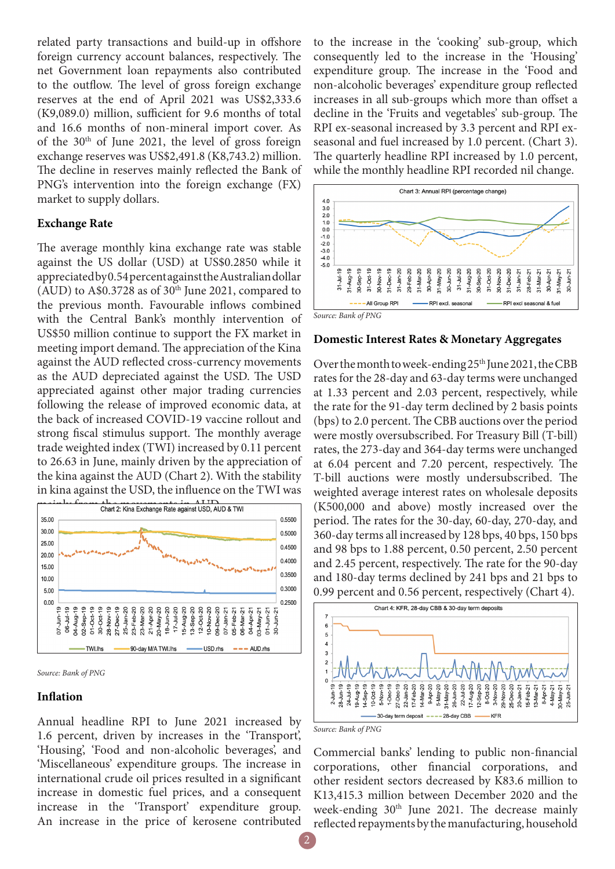related party transactions and build-up in offshore foreign currency account balances, respectively. The net Government loan repayments also contributed to the outflow. The level of gross foreign exchange reserves at the end of April 2021 was US\$2,333.6 (K9,089.0) million, sufficient for 9.6 months of total and 16.6 months of non-mineral import cover. As of the  $30<sup>th</sup>$  of June 2021, the level of gross foreign exchange reserves was US\$2,491.8 (K8,743.2) million. The decline in reserves mainly reflected the Bank of PNG's intervention into the foreign exchange (FX) market to supply dollars.

#### **Exchange Rate**

The average monthly kina exchange rate was stable against the US dollar (USD) at US\$0.2850 while it appreciated by 0.54 percent against the Australian dollar (AUD) to A\$0.3728 as of  $30<sup>th</sup>$  June 2021, compared to the previous month. Favourable inflows combined with the Central Bank's monthly intervention of US\$50 million continue to support the FX market in meeting import demand. The appreciation of the Kina against the AUD reflected cross-currency movements as the AUD depreciated against the USD. The USD appreciated against other major trading currencies following the release of improved economic data, at the back of increased COVID-19 vaccine rollout and strong fiscal stimulus support. The monthly average trade weighted index (TWI) increased by 0.11 percent to 26.63 in June, mainly driven by the appreciation of the kina against the AUD (Chart 2). With the stability in kina against the USD, the influence on the TWI was





### **Inflation**

Annual headline RPI to June 2021 increased by 1.6 percent, driven by increases in the 'Transport', 'Housing', 'Food and non-alcoholic beverages', and 'Miscellaneous' expenditure groups. The increase in international crude oil prices resulted in a significant increase in domestic fuel prices, and a consequent increase in the 'Transport' expenditure group. An increase in the price of kerosene contributed

to the increase in the 'cooking' sub-group, which consequently led to the increase in the 'Housing' expenditure group. The increase in the 'Food and non-alcoholic beverages' expenditure group reflected increases in all sub-groups which more than offset a decline in the 'Fruits and vegetables' sub-group. The RPI ex-seasonal increased by 3.3 percent and RPI exseasonal and fuel increased by 1.0 percent. (Chart 3). The quarterly headline RPI increased by 1.0 percent, while the monthly headline RPI recorded nil change.



### **Domestic Interest Rates & Monetary Aggregates**

Over the month to week-ending  $25<sup>th</sup>$  June 2021, the CBB rates for the 28-day and 63-day terms were unchanged at 1.33 percent and 2.03 percent, respectively, while the rate for the 91-day term declined by 2 basis points (bps) to 2.0 percent. The CBB auctions over the period were mostly oversubscribed. For Treasury Bill (T-bill) rates, the 273-day and 364-day terms were unchanged at 6.04 percent and 7.20 percent, respectively. The T-bill auctions were mostly undersubscribed. The weighted average interest rates on wholesale deposits (K500,000 and above) mostly increased over the period. The rates for the 30-day, 60-day, 270-day, and 360-day terms all increased by 128 bps, 40 bps, 150 bps and 98 bps to 1.88 percent, 0.50 percent, 2.50 percent and 2.45 percent, respectively. The rate for the 90-day and 180-day terms declined by 241 bps and 21 bps to 0.99 percent and 0.56 percent, respectively (Chart 4).



*Source: Bank of PNG*

Commercial banks' lending to public non-financial corporations, other financial corporations, and other resident sectors decreased by K83.6 million to K13,415.3 million between December 2020 and the week-ending  $30<sup>th</sup>$  June 2021. The decrease mainly reflected repayments by the manufacturing, household